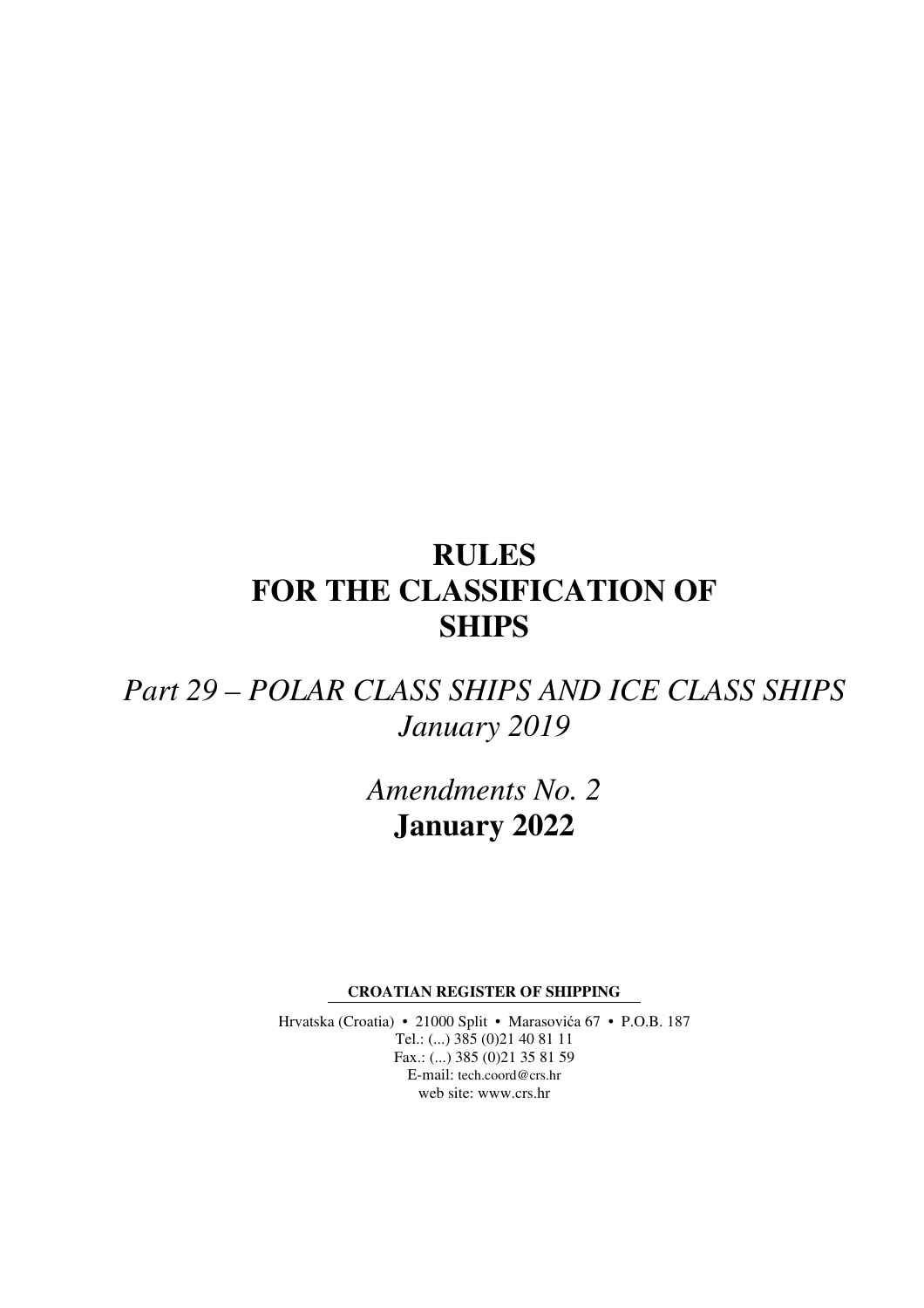# **RULES FOR THE CLASSIFICATION OF SHIPS**

# *Part 29 – POLAR CLASS SHIPS AND ICE CLASS SHIPS January 2019*

*Amendments No. 2*  **January 2022** 

**CROATIAN REGISTER OF SHIPPING** 

Hrvatska (Croatia) • 21000 Split • Marasovića 67 • P.O.B. 187 Tel.: (...) 385 (0)21 40 81 11 Fax.: (...) 385 (0)21 35 81 59 E-mail: tech.coord@crs.hr web site: www.crs.hr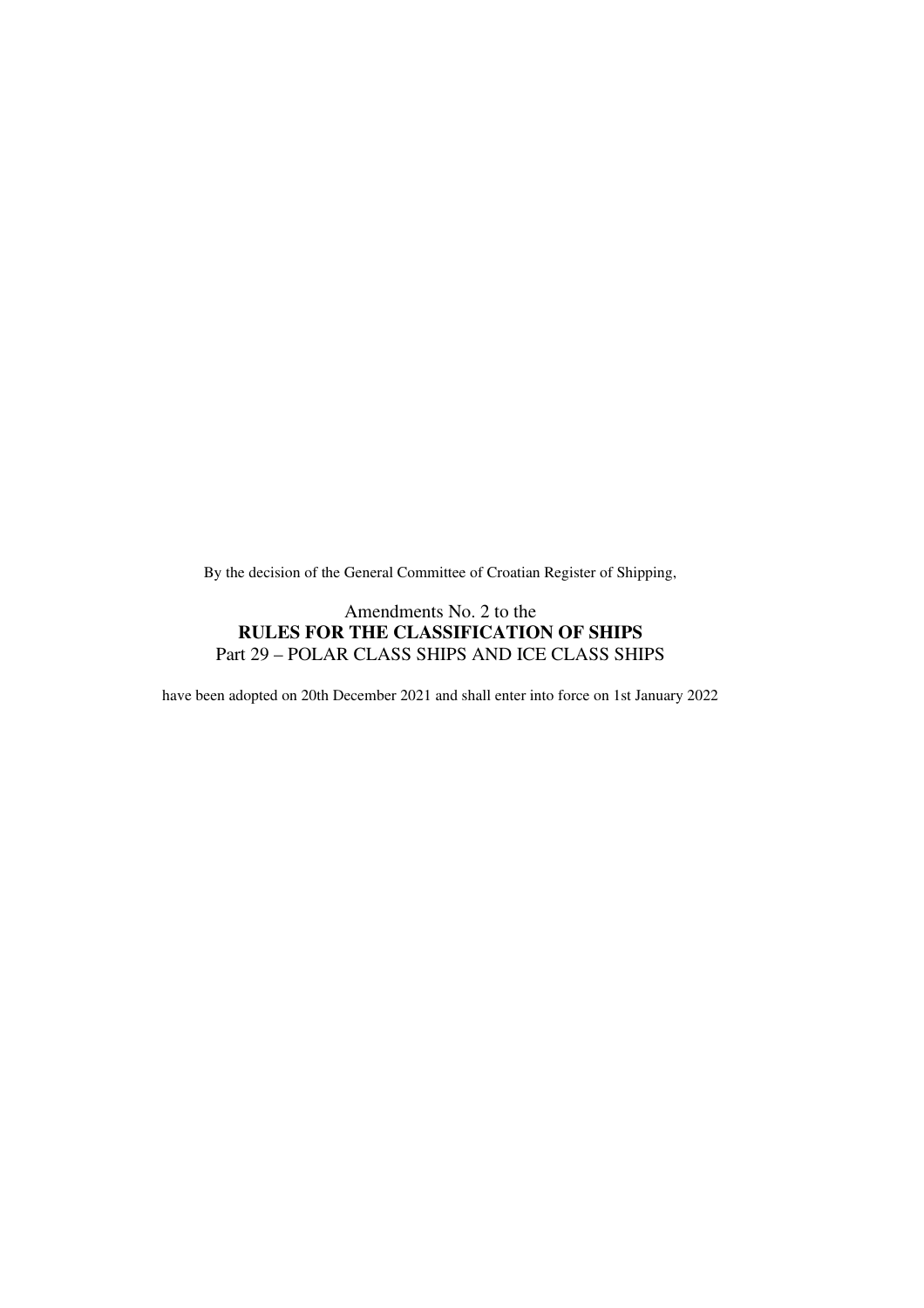By the decision of the General Committee of Croatian Register of Shipping,

#### Amendments No. 2 to the **RULES FOR THE CLASSIFICATION OF SHIPS**  Part 29 – POLAR CLASS SHIPS AND ICE CLASS SHIPS

have been adopted on 20th December 2021 and shall enter into force on 1st January 2022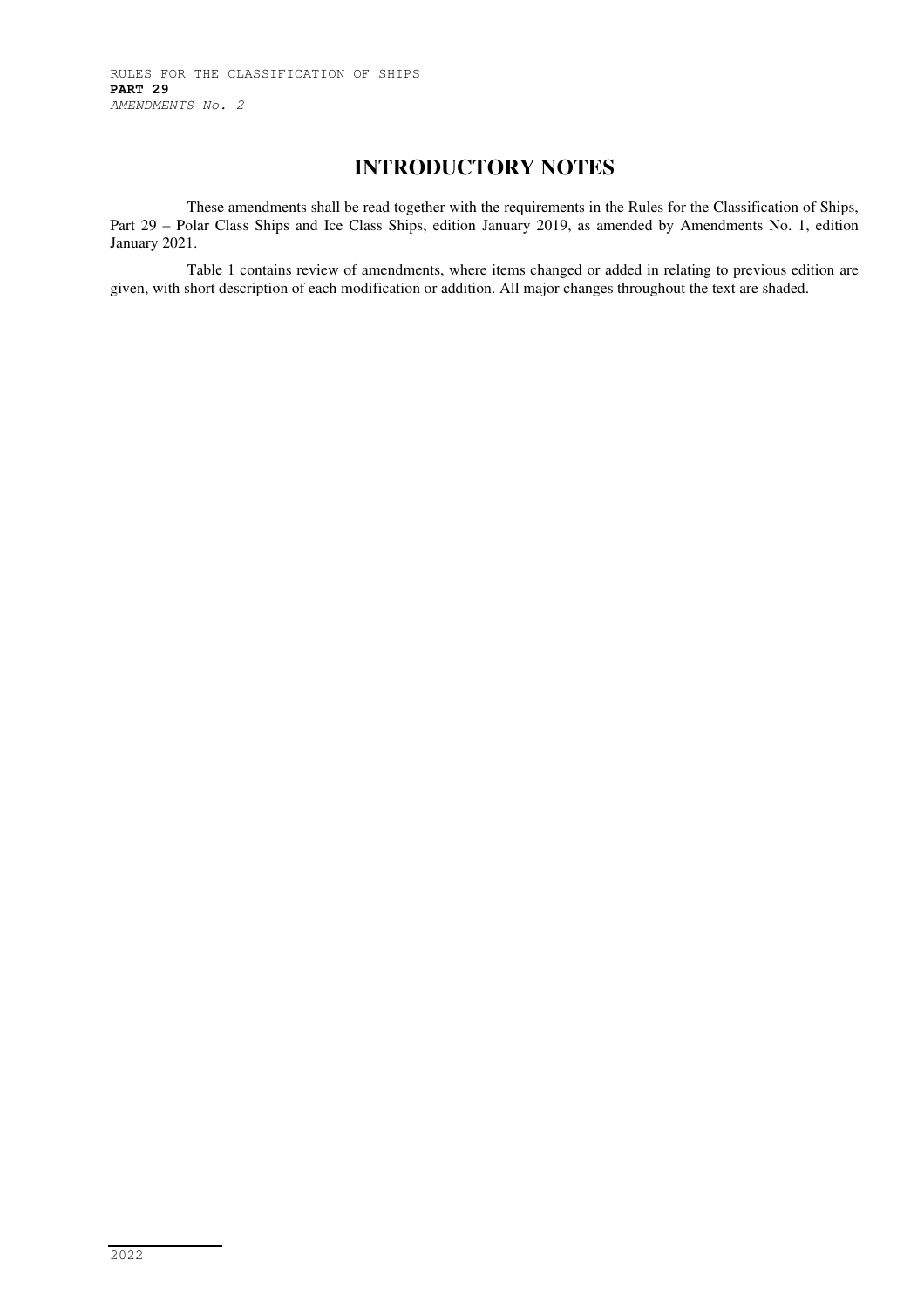### **INTRODUCTORY NOTES**

These amendments shall be read together with the requirements in the Rules for the Classification of Ships, Part 29 – Polar Class Ships and Ice Class Ships, edition January 2019, as amended by Amendments No. 1, edition January 2021.

Table 1 contains review of amendments, where items changed or added in relating to previous edition are given, with short description of each modification or addition. All major changes throughout the text are shaded.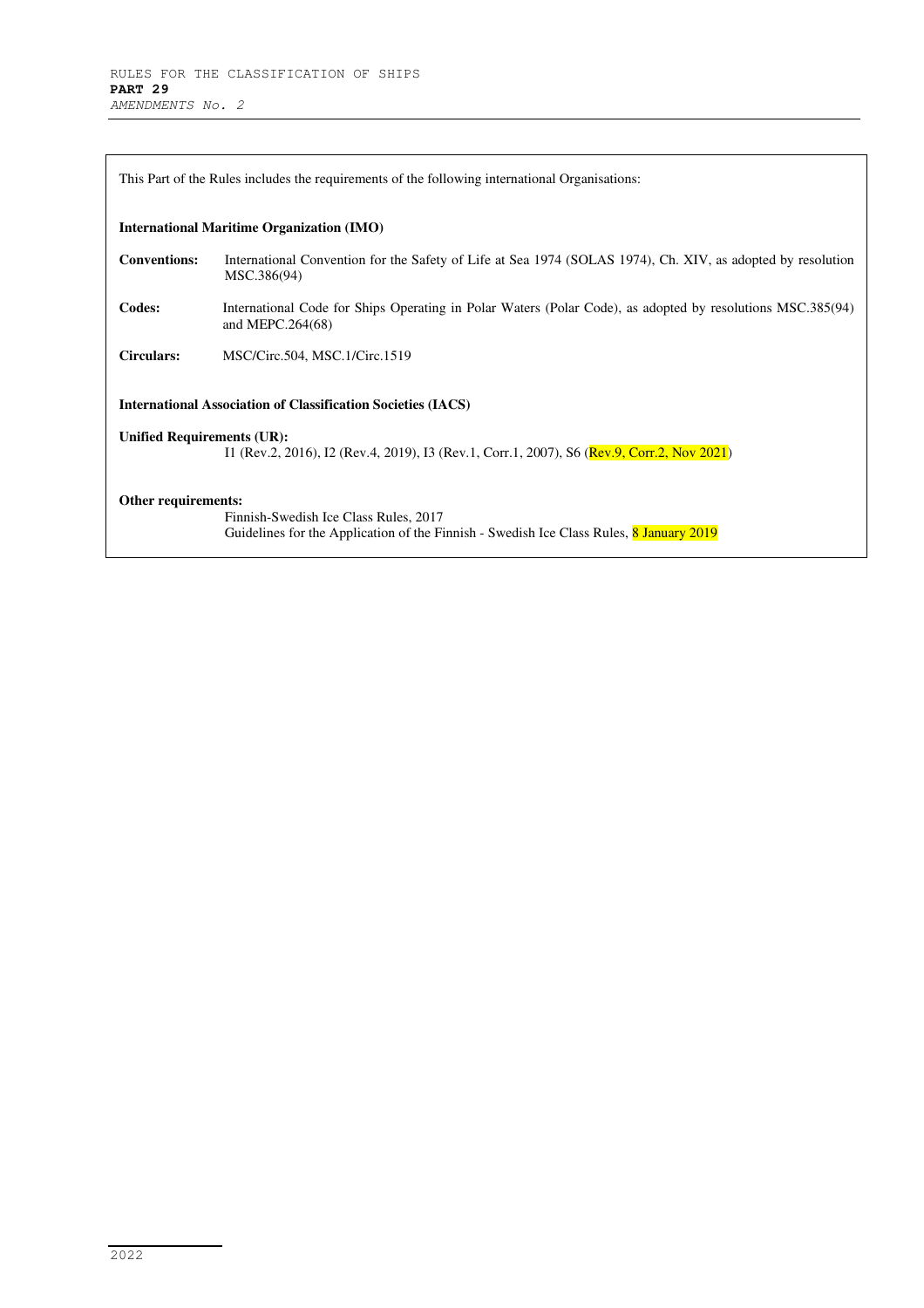| This Part of the Rules includes the requirements of the following international Organisations: |                                                                                                                                |  |
|------------------------------------------------------------------------------------------------|--------------------------------------------------------------------------------------------------------------------------------|--|
| <b>International Maritime Organization (IMO)</b>                                               |                                                                                                                                |  |
| <b>Conventions:</b>                                                                            | International Convention for the Safety of Life at Sea 1974 (SOLAS 1974), Ch. XIV, as adopted by resolution<br>MSC.386(94)     |  |
| Codes:                                                                                         | International Code for Ships Operating in Polar Waters (Polar Code), as adopted by resolutions MSC.385(94)<br>and MEPC.264(68) |  |
| <b>Circulars:</b>                                                                              | MSC/Circ.504, MSC.1/Circ.1519                                                                                                  |  |
| <b>International Association of Classification Societies (IACS)</b>                            |                                                                                                                                |  |
| <b>Unified Requirements (UR):</b>                                                              |                                                                                                                                |  |
|                                                                                                | I1 (Rev.2, 2016), I2 (Rev.4, 2019), I3 (Rev.1, Corr.1, 2007), S6 (Rev.9, Corr.2, Nov 2021)                                     |  |
| Other requirements:                                                                            |                                                                                                                                |  |
|                                                                                                | Finnish-Swedish Ice Class Rules, 2017                                                                                          |  |
|                                                                                                | Guidelines for the Application of the Finnish - Swedish Ice Class Rules, 8 January 2019                                        |  |
|                                                                                                |                                                                                                                                |  |

٠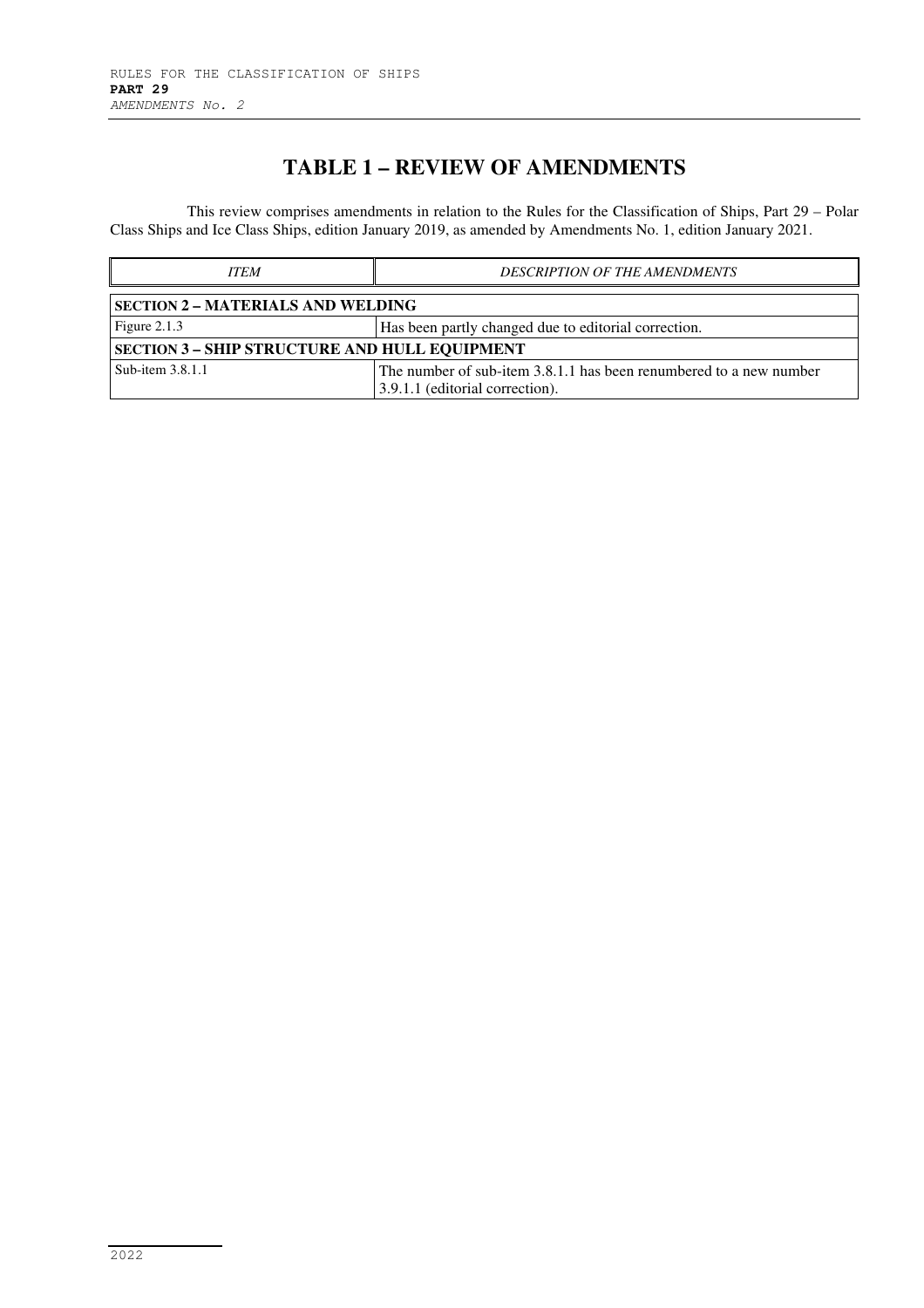### **TABLE 1 – REVIEW OF AMENDMENTS**

This review comprises amendments in relation to the Rules for the Classification of Ships, Part 29 – Polar Class Ships and Ice Class Ships, edition January 2019, as amended by Amendments No. 1, edition January 2021.

| <b>ITEM</b>                                          | <b>DESCRIPTION OF THE AMENDMENTS</b>                                                                  |  |  |
|------------------------------------------------------|-------------------------------------------------------------------------------------------------------|--|--|
| <b>SECTION 2 - MATERIALS AND WELDING</b>             |                                                                                                       |  |  |
| Figure $2.1.3$                                       | Has been partly changed due to editorial correction.                                                  |  |  |
| <b>SECTION 3 - SHIP STRUCTURE AND HULL EQUIPMENT</b> |                                                                                                       |  |  |
| Sub-item 3.8.1.1                                     | The number of sub-item 3.8.1.1 has been renumbered to a new number<br>3.9.1.1 (editorial correction). |  |  |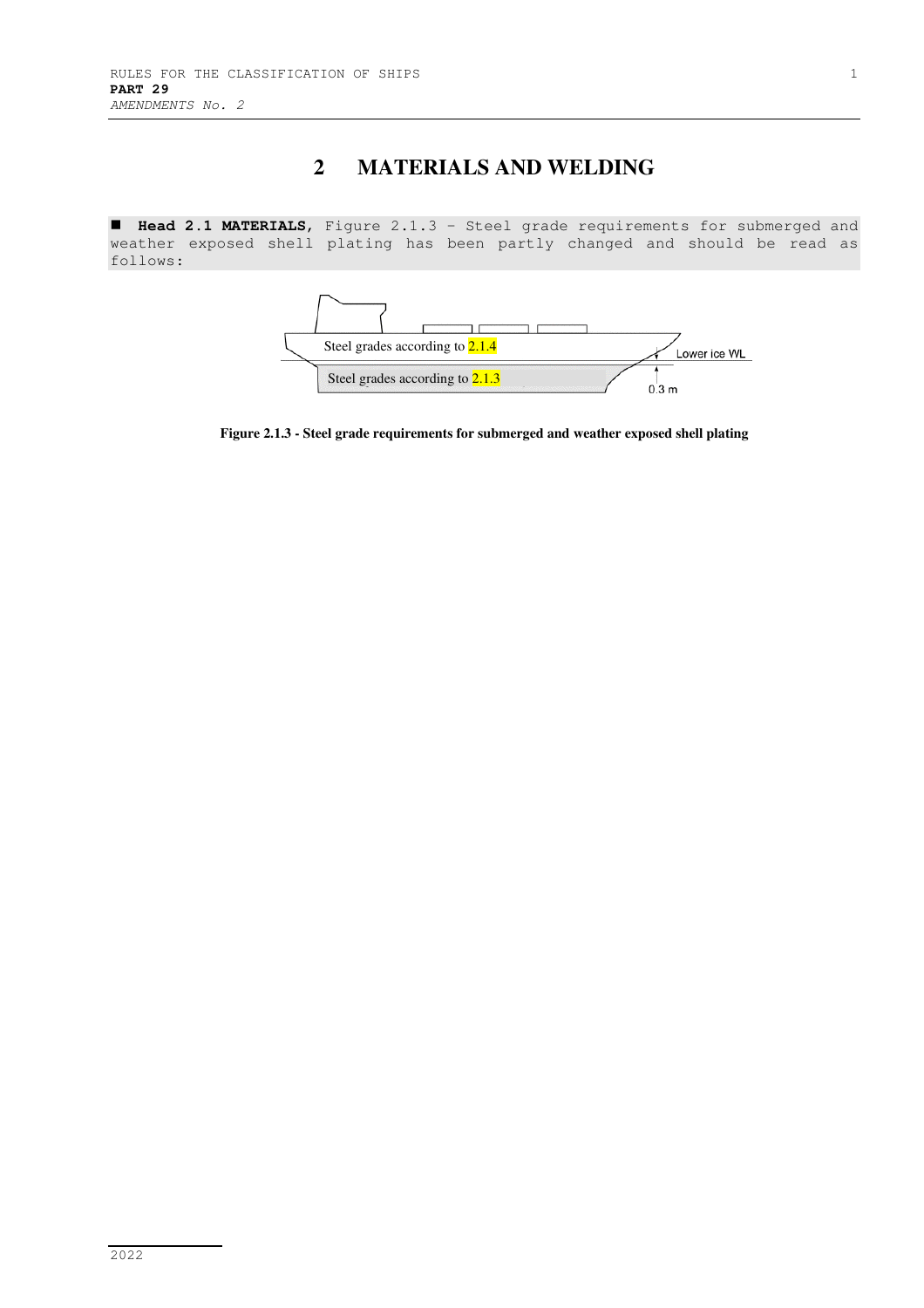# **2 MATERIALS AND WELDING**

 **Head 2.1 MATERIALS**, Figure 2.1.3 – Steel grade requirements for submerged and weather exposed shell plating has been partly changed and should be read as follows:



**Figure 2.1.3 - Steel grade requirements for submerged and weather exposed shell plating**